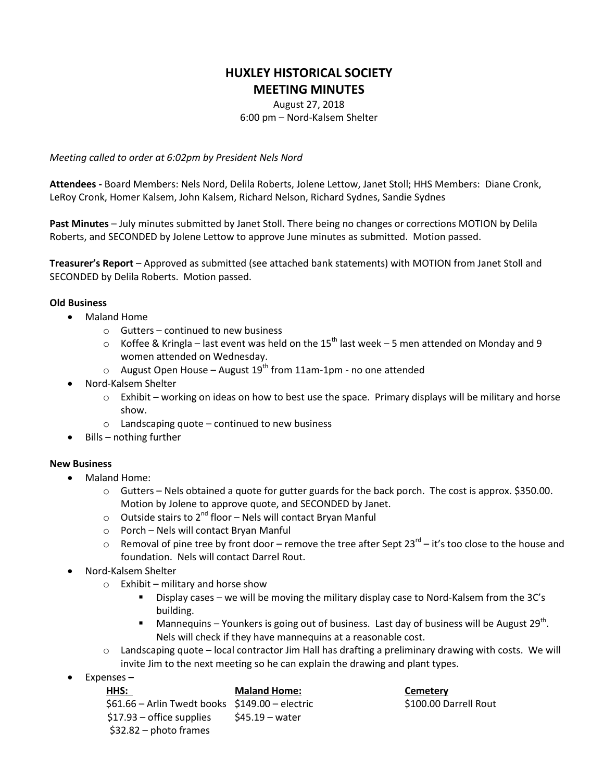# **HUXLEY HISTORICAL SOCIETY MEETING MINUTES**

August 27, 2018 6:00 pm – Nord-Kalsem Shelter

*Meeting called to order at 6:02pm by President Nels Nord*

**Attendees -** Board Members: Nels Nord, Delila Roberts, Jolene Lettow, Janet Stoll; HHS Members: Diane Cronk, LeRoy Cronk, Homer Kalsem, John Kalsem, Richard Nelson, Richard Sydnes, Sandie Sydnes

**Past Minutes** – July minutes submitted by Janet Stoll. There being no changes or corrections MOTION by Delila Roberts, and SECONDED by Jolene Lettow to approve June minutes as submitted. Motion passed.

**Treasurer's Report** – Approved as submitted (see attached bank statements) with MOTION from Janet Stoll and SECONDED by Delila Roberts. Motion passed.

## **Old Business**

- Maland Home
	- o Gutters continued to new business
	- $\circ$  Koffee & Kringla last event was held on the 15<sup>th</sup> last week 5 men attended on Monday and 9 women attended on Wednesday.
	- $\circ$  August Open House August 19<sup>th</sup> from 11am-1pm no one attended
- Nord-Kalsem Shelter
	- $\circ$  Exhibit working on ideas on how to best use the space. Primary displays will be military and horse show.
	- $\circ$  Landscaping quote continued to new business
- $\bullet$  Bills nothing further

## **New Business**

- Maland Home:
	- $\circ$  Gutters Nels obtained a quote for gutter guards for the back porch. The cost is approx. \$350.00. Motion by Jolene to approve quote, and SECONDED by Janet.
	- $\circ$  Outside stairs to 2<sup>nd</sup> floor Nels will contact Bryan Manful
	- o Porch Nels will contact Bryan Manful
	- $\circ$  Removal of pine tree by front door remove the tree after Sept 23<sup>rd</sup> it's too close to the house and foundation. Nels will contact Darrel Rout.
- Nord-Kalsem Shelter
	- $\circ$  Exhibit military and horse show
		- Display cases we will be moving the military display case to Nord-Kalsem from the 3C's building.
		- $\blacksquare$  Mannequins Younkers is going out of business. Last day of business will be August 29<sup>th</sup>. Nels will check if they have mannequins at a reasonable cost.
	- o Landscaping quote local contractor Jim Hall has drafting a preliminary drawing with costs. We will invite Jim to the next meeting so he can explain the drawing and plant types.
- Expenses **–**

## **HHS: Maland Home: Cemetery**

 \$61.66 – Arlin Twedt books \$149.00 – electric \$100.00 Darrell Rout  $$17.93$  – office supplies  $$45.19$  – water \$32.82 – photo frames